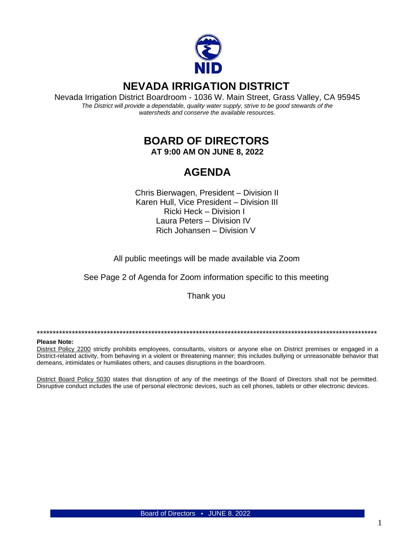

# **NEVADA IRRIGATION DISTRICT**

Nevada Irrigation District Boardroom - 1036 W. Main Street, Grass Valley, CA 95945 The District will provide a dependable, quality water supply, strive to be good stewards of the watersheds and conserve the available resources.

# **BOARD OF DIRECTORS**

AT 9:00 AM ON JUNE 8, 2022

# **AGENDA**

Chris Bierwagen, President - Division II Karen Hull, Vice President - Division III Ricki Heck - Division I Laura Peters - Division IV Rich Johansen - Division V

All public meetings will be made available via Zoom

See Page 2 of Agenda for Zoom information specific to this meeting

Thank you

#### **Please Note:**

District Policy 2200 strictly prohibits employees, consultants, visitors or anyone else on District premises or engaged in a District-related activity, from behaving in a violent or threatening manner; this includes bullying or unreasonable behavior that demeans, intimidates or humiliates others, and causes disruptions in the boardroom.

District Board Policy 5030 states that disruption of any of the meetings of the Board of Directors shall not be permitted. Disruptive conduct includes the use of personal electronic devices, such as cell phones, tablets or other electronic devices.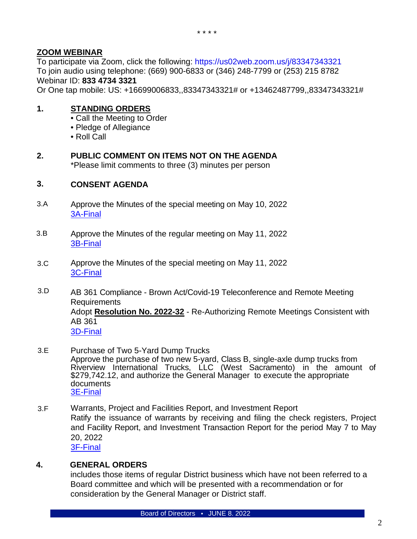### **ZOOM WEBINAR**

To participate via Zoom, click the following:<https://us02web.zoom.us/j/83347343321> To join audio using telephone: (669) 900-6833 or (346) 248-7799 or (253) 215 8782 Webinar ID: **833 4734 3321**

Or One tap mobile: US: +16699006833,,83347343321# or +13462487799,,83347343321#

## **1. STANDING ORDERS**

- Call the Meeting to Order
- Pledge of Allegiance
- Roll Call
- **2. PUBLIC COMMENT ON ITEMS NOT ON THE AGENDA** \*Please limit comments to three (3) minutes per person

#### **3. CONSENT AGENDA**

- 3.A Approve the Minutes of the special meeting on May 10, 2022 [3A-Final](https://www.nidwater.com/files/a4cb08079/3A-Final.pdf)
- 3.B Approve the Minutes of the regular meeting on May 11, 2022 [3B-Final](https://www.nidwater.com/files/aa37a6af2/3B-Final.pdf)
- 3.C Approve the Minutes of the special meeting on May 11, 2022 [3C-Final](https://www.nidwater.com/files/033a3c730/3C-Final.pdf)
- 3.D AB 361 Compliance - Brown Act/Covid-19 Teleconference and Remote Meeting Requirements Adopt **Resolution No. 2022-32** - Re-Authorizing Remote Meetings Consistent with AB 361 [3D-Final](https://www.nidwater.com/files/c879480a7/3D-Final.pdf)
- 3.E Purchase of Two 5-Yard Dump Trucks Approve the purchase of two new 5-yard, Class B, single-axle dump trucks from Riverview International Trucks, LLC (West Sacramento) in the amount of  $$279,742.12$ , and authorize the General Manager to execute the appropriate documents [3E-Final](https://www.nidwater.com/files/de7a9bda4/3E-Final.pdf)
- 3.F Warrants, Project and Facilities Report, and Investment Report Ratify the issuance of warrants by receiving and filing the check registers, Project and Facility Report, and Investment Transaction Report for the period May 7 to May 20, 2022 [3F-Final](https://www.nidwater.com/files/7625ef886/3F-Final.pdf)

### **4. GENERAL ORDERS**

includes those items of regular District business which have not been referred to a Board committee and which will be presented with a recommendation or for consideration by the General Manager or District staff.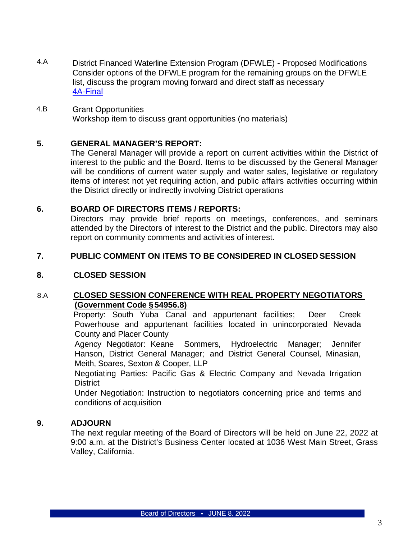- 4.A District Financed Waterline Extension Program (DFWLE) - Proposed Modifications Consider options of the DFWLE program for the remaining groups on the DFWLE list, discuss the program moving forward and direct staff as necessary [4A-Final](https://www.nidwater.com/files/7767bef60/4A-Final.pdf)
- 4.B Grant Opportunities Workshop item to discuss grant opportunities (no materials)

### **5. GENERAL MANAGER'S REPORT:**

The General Manager will provide a report on current activities within the District of interest to the public and the Board. Items to be discussed by the General Manager will be conditions of current water supply and water sales, legislative or regulatory items of interest not yet requiring action, and public affairs activities occurring within the District directly or indirectly involving District operations

### **6. BOARD OF DIRECTORS ITEMS / REPORTS:**

Directors may provide brief reports on meetings, conferences, and seminars attended by the Directors of interest to the District and the public. Directors may also report on community comments and activities of interest.

### **7. PUBLIC COMMENT ON ITEMS TO BE CONSIDERED IN CLOSED SESSION**

### **8. CLOSED SESSION**

### 8.A **CLOSED SESSION CONFERENCE WITH REAL PROPERTY NEGOTIATORS (Government Code §54956.8)**

Property: South Yuba Canal and appurtenant facilities; Deer Creek Powerhouse and appurtenant facilities located in unincorporated Nevada County and Placer County

Agency Negotiator: Keane Sommers, Hydroelectric Manager; Jennifer Hanson, District General Manager; and District General Counsel, Minasian, Meith, Soares, Sexton & Cooper, LLP

Negotiating Parties: Pacific Gas & Electric Company and Nevada Irrigation **District** 

Under Negotiation: Instruction to negotiators concerning price and terms and conditions of acquisition

#### **9. ADJOURN**

The next regular meeting of the Board of Directors will be held on June 22, 2022 at 9:00 a.m. at the District's Business Center located at 1036 West Main Street, Grass Valley, California.